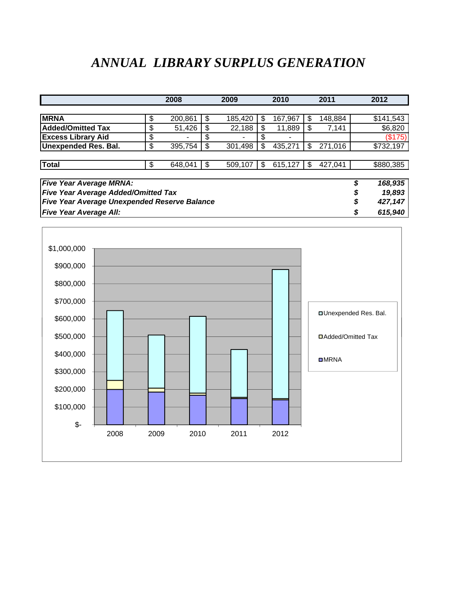## *ANNUAL LIBRARY SURPLUS GENERATION*

|                                                     |    | 2008    |     | 2009    |     | 2010    |     | 2011          | 2012         |
|-----------------------------------------------------|----|---------|-----|---------|-----|---------|-----|---------------|--------------|
|                                                     |    |         |     |         |     |         |     |               |              |
| <b>MRNA</b>                                         | \$ | 200,861 | S   | 185,420 | S   | 167,967 | \$. | 148,884       | \$141,543    |
| <b>Added/Omitted Tax</b>                            | \$ | 51,426  | S   | 22,188  | S   | 11,889  | -S  | 7,141         | \$6,820      |
| <b>Excess Library Aid</b>                           | \$ |         |     |         |     |         |     |               | (\$175)      |
| <b>Unexpended Res. Bal.</b>                         | \$ | 395,754 | \$  | 301,498 | \$. | 435,271 | \$  | 271,016       | \$732,197    |
|                                                     |    |         |     |         |     |         |     |               |              |
| <b>Total</b>                                        | \$ | 648,041 | \$. | 509,107 | \$  | 615,127 | -\$ | 427,041       | \$880,385    |
|                                                     |    |         |     |         |     |         |     |               |              |
| <b>Five Year Average MRNA:</b>                      |    |         |     |         |     |         |     | \$<br>168,935 |              |
| <b>Five Year Average Added/Omitted Tax</b>          |    |         |     |         |     |         |     |               | \$<br>19,893 |
| <b>Five Year Average Unexpended Reserve Balance</b> |    |         |     |         |     |         |     | \$<br>427,147 |              |
| <b>Five Year Average All:</b>                       |    |         |     |         |     |         |     | \$<br>615,940 |              |